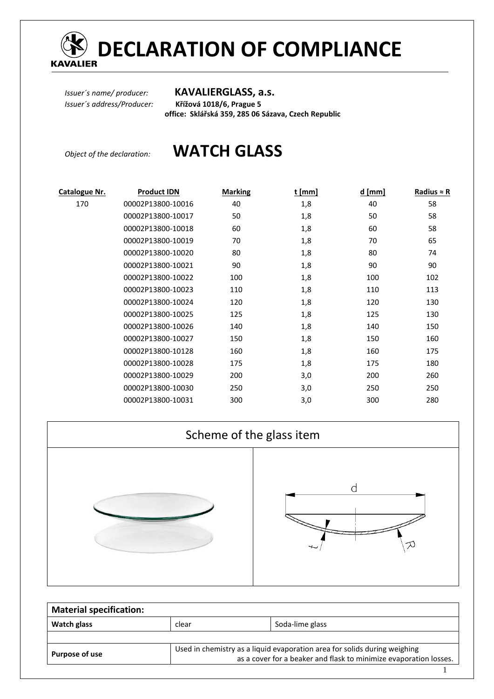

# **DECLARATION OF COMPLIANCE**

### *Issuer´s name/ producer:* **KAVALIERGLASS, a.s.**

*Issuer´s address/Producer:* **Křížová 1018/6, Prague 5 office: Sklářská 359, 285 06 Sázava, Czech Republic** 

# *Object of the declaration:* **WATCH GLASS**

| Catalogue Nr. | <b>Product IDN</b> | <b>Marking</b> | $t$ [mm] | $d$ [mm] | Radius $\approx$ R |
|---------------|--------------------|----------------|----------|----------|--------------------|
| 170           | 00002P13800-10016  | 40             | 1,8      | 40       | 58                 |
|               | 00002P13800-10017  | 50             | 1,8      | 50       | 58                 |
|               | 00002P13800-10018  | 60             | 1,8      | 60       | 58                 |
|               | 00002P13800-10019  | 70             | 1,8      | 70       | 65                 |
|               | 00002P13800-10020  | 80             | 1,8      | 80       | 74                 |
|               | 00002P13800-10021  | 90             | 1,8      | 90       | 90                 |
|               | 00002P13800-10022  | 100            | 1,8      | 100      | 102                |
|               | 00002P13800-10023  | 110            | 1,8      | 110      | 113                |
|               | 00002P13800-10024  | 120            | 1,8      | 120      | 130                |
|               | 00002P13800-10025  | 125            | 1,8      | 125      | 130                |
|               | 00002P13800-10026  | 140            | 1,8      | 140      | 150                |
|               | 00002P13800-10027  | 150            | 1,8      | 150      | 160                |
|               | 00002P13800-10128  | 160            | 1,8      | 160      | 175                |
|               | 00002P13800-10028  | 175            | 1,8      | 175      | 180                |
|               | 00002P13800-10029  | 200            | 3,0      | 200      | 260                |
|               | 00002P13800-10030  | 250            | 3,0      | 250      | 250                |
|               | 00002P13800-10031  | 300            | 3,0      | 300      | 280                |



| <b>Material specification:</b> |                                                                                                                                                |                 |  |  |  |  |
|--------------------------------|------------------------------------------------------------------------------------------------------------------------------------------------|-----------------|--|--|--|--|
| Watch glass                    | clear                                                                                                                                          | Soda-lime glass |  |  |  |  |
|                                |                                                                                                                                                |                 |  |  |  |  |
| Purpose of use                 | Used in chemistry as a liquid evaporation area for solids during weighing<br>as a cover for a beaker and flask to minimize evaporation losses. |                 |  |  |  |  |
|                                |                                                                                                                                                |                 |  |  |  |  |